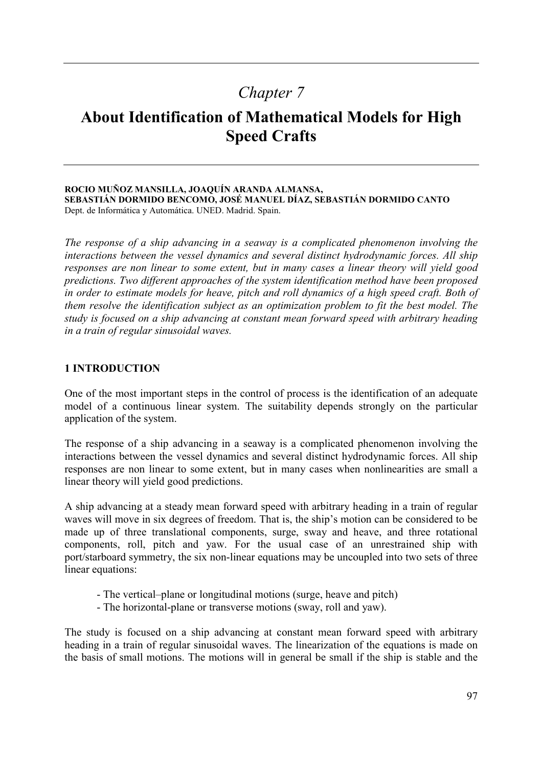## *Chapter 7*

# **About Identification of Mathematical Models for High Speed Crafts**

**ROCIO MUÑOZ MANSILLA, JOAQUÍN ARANDA ALMANSA, SEBASTIÁN DORMIDO BENCOMO, JOSÉ MANUEL DÍAZ, SEBASTIÁN DORMIDO CANTO**  Dept. de Informática y Automática. UNED. Madrid. Spain.

*The response of a ship advancing in a seaway is a complicated phenomenon involving the interactions between the vessel dynamics and several distinct hydrodynamic forces. All ship responses are non linear to some extent, but in many cases a linear theory will yield good predictions. Two different approaches of the system identification method have been proposed in order to estimate models for heave, pitch and roll dynamics of a high speed craft. Both of them resolve the identification subject as an optimization problem to fit the best model. The study is focused on a ship advancing at constant mean forward speed with arbitrary heading in a train of regular sinusoidal waves.* 

#### **1 INTRODUCTION**

One of the most important steps in the control of process is the identification of an adequate model of a continuous linear system. The suitability depends strongly on the particular application of the system.

The response of a ship advancing in a seaway is a complicated phenomenon involving the interactions between the vessel dynamics and several distinct hydrodynamic forces. All ship responses are non linear to some extent, but in many cases when nonlinearities are small a linear theory will yield good predictions.

A ship advancing at a steady mean forward speed with arbitrary heading in a train of regular waves will move in six degrees of freedom. That is, the ship's motion can be considered to be made up of three translational components, surge, sway and heave, and three rotational components, roll, pitch and yaw. For the usual case of an unrestrained ship with port/starboard symmetry, the six non-linear equations may be uncoupled into two sets of three linear equations:

- The vertical–plane or longitudinal motions (surge, heave and pitch)
- The horizontal-plane or transverse motions (sway, roll and yaw).

The study is focused on a ship advancing at constant mean forward speed with arbitrary heading in a train of regular sinusoidal waves. The linearization of the equations is made on the basis of small motions. The motions will in general be small if the ship is stable and the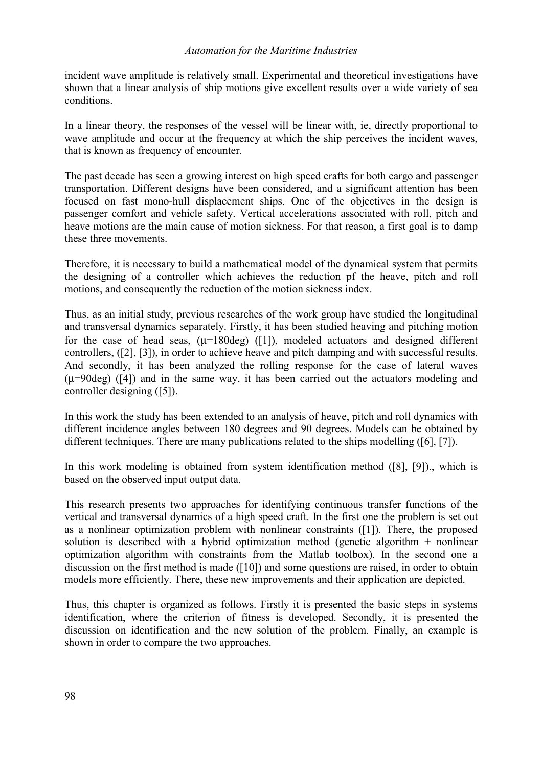#### *Automation for the Maritime Industries*

incident wave amplitude is relatively small. Experimental and theoretical investigations have shown that a linear analysis of ship motions give excellent results over a wide variety of sea conditions.

In a linear theory, the responses of the vessel will be linear with, ie, directly proportional to wave amplitude and occur at the frequency at which the ship perceives the incident waves, that is known as frequency of encounter.

The past decade has seen a growing interest on high speed crafts for both cargo and passenger transportation. Different designs have been considered, and a significant attention has been focused on fast mono-hull displacement ships. One of the objectives in the design is passenger comfort and vehicle safety. Vertical accelerations associated with roll, pitch and heave motions are the main cause of motion sickness. For that reason, a first goal is to damp these three movements.

Therefore, it is necessary to build a mathematical model of the dynamical system that permits the designing of a controller which achieves the reduction pf the heave, pitch and roll motions, and consequently the reduction of the motion sickness index.

Thus, as an initial study, previous researches of the work group have studied the longitudinal and transversal dynamics separately. Firstly, it has been studied heaving and pitching motion for the case of head seas,  $(\mu=180 \text{deg})$  ([1]), modeled actuators and designed different controllers, ([2], [3]), in order to achieve heave and pitch damping and with successful results. And secondly, it has been analyzed the rolling response for the case of lateral waves  $(\mu=90deg)$  ([4]) and in the same way, it has been carried out the actuators modeling and controller designing ([5]).

In this work the study has been extended to an analysis of heave, pitch and roll dynamics with different incidence angles between 180 degrees and 90 degrees. Models can be obtained by different techniques. There are many publications related to the ships modelling ([6], [7]).

In this work modeling is obtained from system identification method ([8], [9])., which is based on the observed input output data.

This research presents two approaches for identifying continuous transfer functions of the vertical and transversal dynamics of a high speed craft. In the first one the problem is set out as a nonlinear optimization problem with nonlinear constraints ([1]). There, the proposed solution is described with a hybrid optimization method (genetic algorithm + nonlinear optimization algorithm with constraints from the Matlab toolbox). In the second one a discussion on the first method is made ([10]) and some questions are raised, in order to obtain models more efficiently. There, these new improvements and their application are depicted.

Thus, this chapter is organized as follows. Firstly it is presented the basic steps in systems identification, where the criterion of fitness is developed. Secondly, it is presented the discussion on identification and the new solution of the problem. Finally, an example is shown in order to compare the two approaches.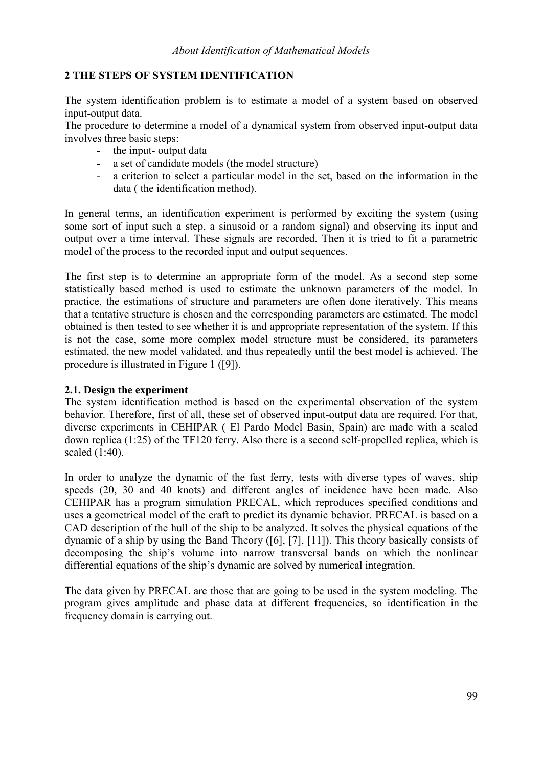## **2 THE STEPS OF SYSTEM IDENTIFICATION**

The system identification problem is to estimate a model of a system based on observed input-output data.

The procedure to determine a model of a dynamical system from observed input-output data involves three basic steps:

- the input- output data
- a set of candidate models (the model structure)
- a criterion to select a particular model in the set, based on the information in the data ( the identification method).

In general terms, an identification experiment is performed by exciting the system (using some sort of input such a step, a sinusoid or a random signal) and observing its input and output over a time interval. These signals are recorded. Then it is tried to fit a parametric model of the process to the recorded input and output sequences.

The first step is to determine an appropriate form of the model. As a second step some statistically based method is used to estimate the unknown parameters of the model. In practice, the estimations of structure and parameters are often done iteratively. This means that a tentative structure is chosen and the corresponding parameters are estimated. The model obtained is then tested to see whether it is and appropriate representation of the system. If this is not the case, some more complex model structure must be considered, its parameters estimated, the new model validated, and thus repeatedly until the best model is achieved. The procedure is illustrated in Figure 1 ([9]).

#### **2.1. Design the experiment**

The system identification method is based on the experimental observation of the system behavior. Therefore, first of all, these set of observed input-output data are required. For that, diverse experiments in CEHIPAR ( El Pardo Model Basin, Spain) are made with a scaled down replica (1:25) of the TF120 ferry. Also there is a second self-propelled replica, which is scaled (1:40).

In order to analyze the dynamic of the fast ferry, tests with diverse types of waves, ship speeds (20, 30 and 40 knots) and different angles of incidence have been made. Also CEHIPAR has a program simulation PRECAL, which reproduces specified conditions and uses a geometrical model of the craft to predict its dynamic behavior. PRECAL is based on a CAD description of the hull of the ship to be analyzed. It solves the physical equations of the dynamic of a ship by using the Band Theory ([6], [7], [11]). This theory basically consists of decomposing the ship's volume into narrow transversal bands on which the nonlinear differential equations of the ship's dynamic are solved by numerical integration.

The data given by PRECAL are those that are going to be used in the system modeling. The program gives amplitude and phase data at different frequencies, so identification in the frequency domain is carrying out.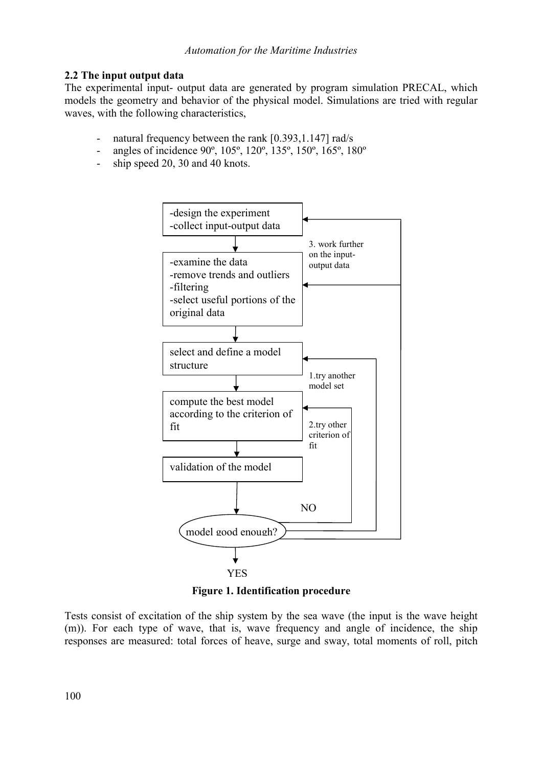#### **2.2 The input output data**

The experimental input- output data are generated by program simulation PRECAL, which models the geometry and behavior of the physical model. Simulations are tried with regular waves, with the following characteristics,

- natural frequency between the rank [0.393,1.147] rad/s
- angles of incidence 90º, 105º, 120º, 135º, 150º, 165º, 180º
- ship speed 20, 30 and 40 knots.



**Figure 1. Identification procedure** 

Tests consist of excitation of the ship system by the sea wave (the input is the wave height (m)). For each type of wave, that is, wave frequency and angle of incidence, the ship responses are measured: total forces of heave, surge and sway, total moments of roll, pitch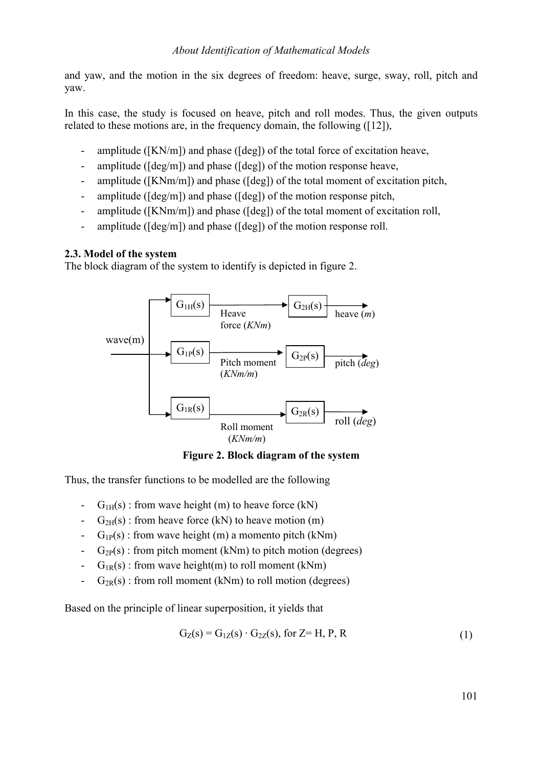and yaw, and the motion in the six degrees of freedom: heave, surge, sway, roll, pitch and yaw.

In this case, the study is focused on heave, pitch and roll modes. Thus, the given outputs related to these motions are, in the frequency domain, the following ([12]),

- amplitude ([KN/m]) and phase ([deg]) of the total force of excitation heave,
- amplitude ( $[deg/m]$ ) and phase ( $[deg]$ ) of the motion response heave,
- amplitude ([KNm/m]) and phase ([deg]) of the total moment of excitation pitch,
- amplitude ( $[deg/m]$ ) and phase ( $[deg]$ ) of the motion response pitch,
- amplitude ([KNm/m]) and phase ([deg]) of the total moment of excitation roll,
- amplitude ( $[\text{deg/m}]$ ) and phase ( $[\text{deg}]$ ) of the motion response roll.

### **2.3. Model of the system**

The block diagram of the system to identify is depicted in figure 2.



**Figure 2. Block diagram of the system** 

Thus, the transfer functions to be modelled are the following

- $G_{1H}(s)$ : from wave height (m) to heave force (kN)
- $G_{2H}(s)$ : from heave force (kN) to heave motion (m)
- $G_{1P}(s)$ : from wave height (m) a momento pitch (kNm)
- $G_{2P}(s)$ : from pitch moment (kNm) to pitch motion (degrees)
- $G_{1R}(s)$ : from wave height(m) to roll moment (kNm)
- $G_{2R}(s)$ : from roll moment (kNm) to roll motion (degrees)

Based on the principle of linear superposition, it yields that

$$
G_Z(s) = G_{1Z}(s) \cdot G_{2Z}(s), \text{ for } Z = H, P, R
$$
 (1)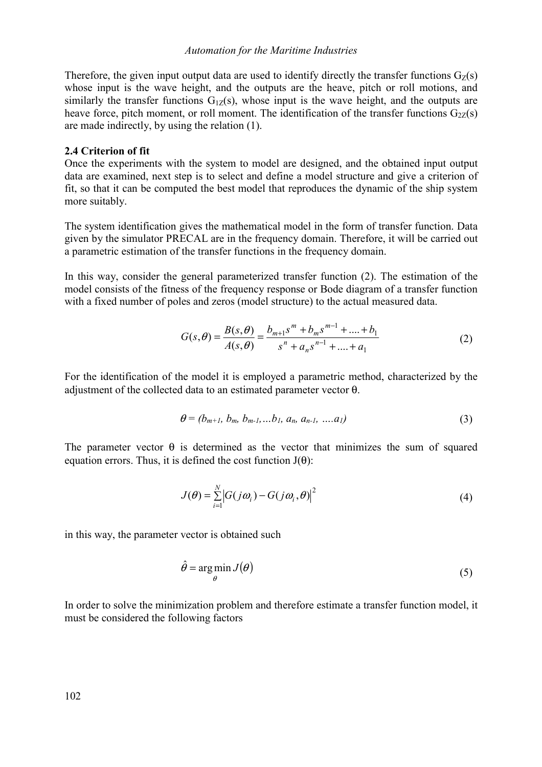#### *Automation for the Maritime Industries*

Therefore, the given input output data are used to identify directly the transfer functions  $G_Z(s)$ whose input is the wave height, and the outputs are the heave, pitch or roll motions, and similarly the transfer functions  $G_{1Z}(s)$ , whose input is the wave height, and the outputs are heave force, pitch moment, or roll moment. The identification of the transfer functions  $G_{2Z}(s)$ are made indirectly, by using the relation (1).

#### **2.4 Criterion of fit**

Once the experiments with the system to model are designed, and the obtained input output data are examined, next step is to select and define a model structure and give a criterion of fit, so that it can be computed the best model that reproduces the dynamic of the ship system more suitably.

The system identification gives the mathematical model in the form of transfer function. Data given by the simulator PRECAL are in the frequency domain. Therefore, it will be carried out a parametric estimation of the transfer functions in the frequency domain.

In this way, consider the general parameterized transfer function (2). The estimation of the model consists of the fitness of the frequency response or Bode diagram of a transfer function with a fixed number of poles and zeros (model structure) to the actual measured data.

$$
G(s,\theta) = \frac{B(s,\theta)}{A(s,\theta)} = \frac{b_{m+1}s^m + b_m s^{m-1} + \dots + b_1}{s^n + a_n s^{n-1} + \dots + a_1}
$$
 (2)

For the identification of the model it is employed a parametric method, characterized by the adjustment of the collected data to an estimated parameter vector θ.

$$
\theta = (b_{m+1}, b_m, b_{m-1}, \ldots b_1, a_n, a_{n-1}, \ldots a_1) \tag{3}
$$

The parameter vector  $\theta$  is determined as the vector that minimizes the sum of squared equation errors. Thus, it is defined the cost function  $J(\theta)$ :

$$
J(\theta) = \sum_{i=1}^{N} \left| G(j\omega_i) - G(j\omega_i, \theta) \right|^2
$$
 (4)

in this way, the parameter vector is obtained such

$$
\hat{\theta} = \underset{\theta}{\arg\min} J(\theta) \tag{5}
$$

In order to solve the minimization problem and therefore estimate a transfer function model, it must be considered the following factors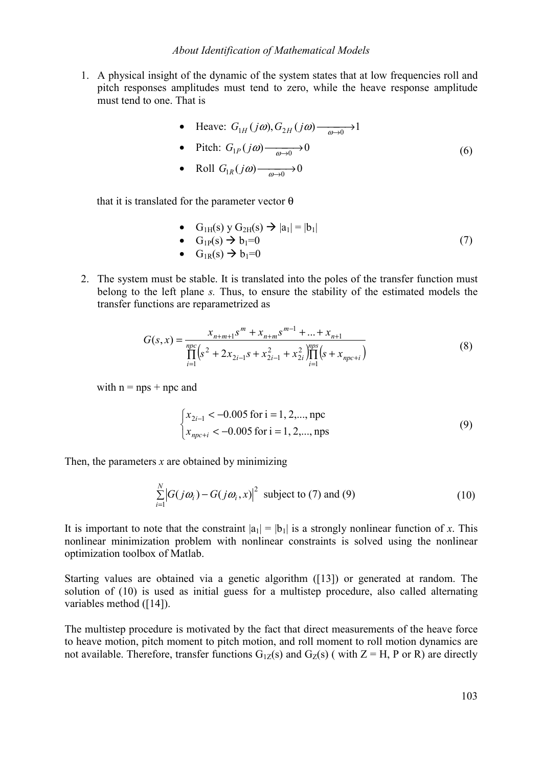1. A physical insight of the dynamic of the system states that at low frequencies roll and pitch responses amplitudes must tend to zero, while the heave response amplitude must tend to one. That is

\n- Heave: 
$$
G_{1H}(j\omega), G_{2H}(j\omega) \xrightarrow{\omega \to 0} 1
$$
\n- Pitch:  $G_{1P}(j\omega) \xrightarrow{\omega \to 0} 0$
\n- Roll  $G_{1R}(j\omega) \xrightarrow{\omega \to 0} 0$
\n
\n(6)

that it is translated for the parameter vector  $θ$ 

- $G_{1H}(s)$  y  $G_{2H}(s) \rightarrow |a_1| = |b_1|$ •  $G_{1P}(s) \to b_1=0$ •  $G_{1R}(s) \rightarrow b_1=0$ (7)
- 2. The system must be stable. It is translated into the poles of the transfer function must belong to the left plane *s.* Thus, to ensure the stability of the estimated models the transfer functions are reparametrized as

$$
G(s,x) = \frac{x_{n+m+1}s^{m} + x_{n+m}s^{m-1} + \dots + x_{n+1}}{\prod_{i=1}^{mpc} (s^2 + 2x_{2i-1}s + x_{2i-1}^2 + x_{2i}^2) \prod_{i=1}^{mps} (s + x_{mpc+i})}
$$
(8)

with  $n = nps + npc$  and

$$
\begin{cases} x_{2i-1} < -0.005 \text{ for } i = 1, 2, \dots, \text{npc} \\ x_{npc+i} < -0.005 \text{ for } i = 1, 2, \dots, \text{nps} \end{cases} \tag{9}
$$

Then, the parameters *x* are obtained by minimizing

$$
\sum_{i=1}^{N} |G(j\omega_i) - G(j\omega_i, x)|^2 \text{ subject to (7) and (9)}
$$
 (10)

It is important to note that the constraint  $|a_1| = |b_1|$  is a strongly nonlinear function of *x*. This nonlinear minimization problem with nonlinear constraints is solved using the nonlinear optimization toolbox of Matlab.

Starting values are obtained via a genetic algorithm ([13]) or generated at random. The solution of (10) is used as initial guess for a multistep procedure, also called alternating variables method ([14]).

The multistep procedure is motivated by the fact that direct measurements of the heave force to heave motion, pitch moment to pitch motion, and roll moment to roll motion dynamics are not available. Therefore, transfer functions  $G_{1Z}(s)$  and  $G_{Z}(s)$  (with  $Z = H$ , P or R) are directly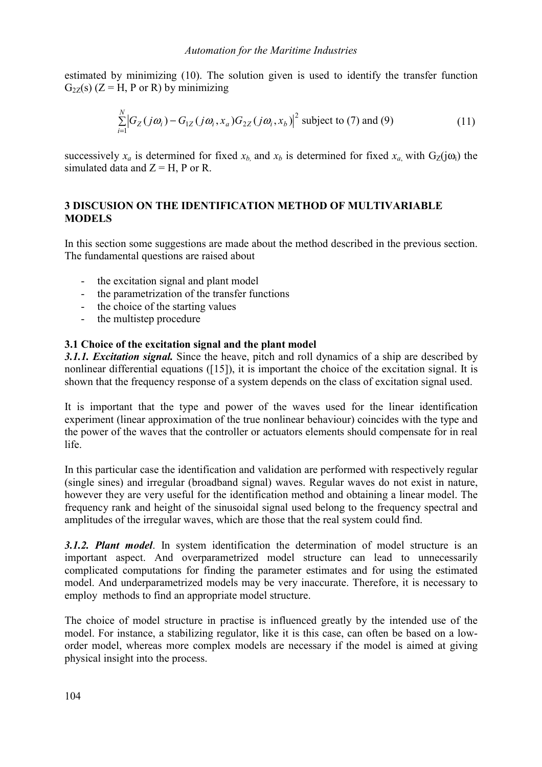estimated by minimizing (10). The solution given is used to identify the transfer function  $G_{2Z}(s)$  (Z = H, P or R) by minimizing

$$
\sum_{i=1}^{N} \left| G_Z(j\omega_i) - G_{1Z}(j\omega_i, x_a) G_{2Z}(j\omega_i, x_b) \right|^2 \text{ subject to (7) and (9)}
$$
 (11)

successively  $x_a$  is determined for fixed  $x_b$  and  $x_b$  is determined for fixed  $x_a$  with  $G_z(i\omega_i)$  the simulated data and  $Z = H$ . P or R.

#### **3 DISCUSION ON THE IDENTIFICATION METHOD OF MULTIVARIABLE MODELS**

In this section some suggestions are made about the method described in the previous section. The fundamental questions are raised about

- the excitation signal and plant model
- the parametrization of the transfer functions
- the choice of the starting values
- the multistep procedure

#### **3.1 Choice of the excitation signal and the plant model**

*3.1.1. Excitation signal.* Since the heave, pitch and roll dynamics of a ship are described by nonlinear differential equations ([15]), it is important the choice of the excitation signal. It is shown that the frequency response of a system depends on the class of excitation signal used.

It is important that the type and power of the waves used for the linear identification experiment (linear approximation of the true nonlinear behaviour) coincides with the type and the power of the waves that the controller or actuators elements should compensate for in real life.

In this particular case the identification and validation are performed with respectively regular (single sines) and irregular (broadband signal) waves. Regular waves do not exist in nature, however they are very useful for the identification method and obtaining a linear model. The frequency rank and height of the sinusoidal signal used belong to the frequency spectral and amplitudes of the irregular waves, which are those that the real system could find.

*3.1.2. Plant model*. In system identification the determination of model structure is an important aspect. And overparametrized model structure can lead to unnecessarily complicated computations for finding the parameter estimates and for using the estimated model. And underparametrized models may be very inaccurate. Therefore, it is necessary to employ methods to find an appropriate model structure.

The choice of model structure in practise is influenced greatly by the intended use of the model. For instance, a stabilizing regulator, like it is this case, can often be based on a loworder model, whereas more complex models are necessary if the model is aimed at giving physical insight into the process.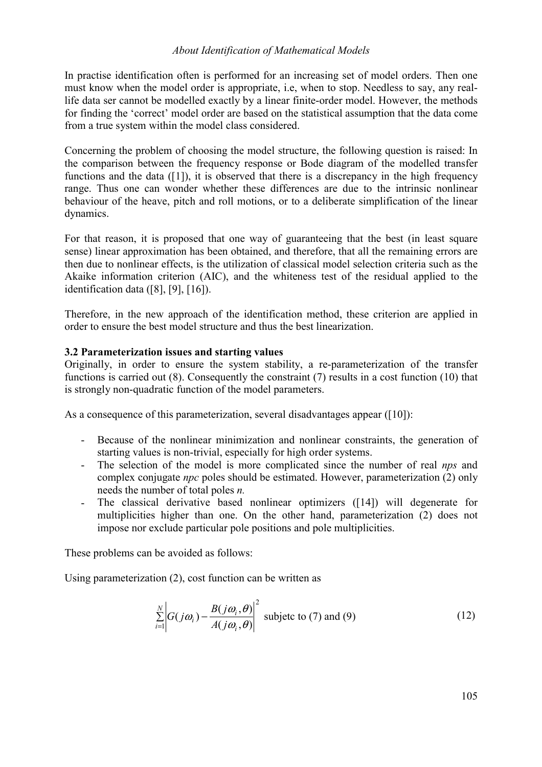#### *About Identification of Mathematical Models*

In practise identification often is performed for an increasing set of model orders. Then one must know when the model order is appropriate, i.e, when to stop. Needless to say, any reallife data ser cannot be modelled exactly by a linear finite-order model. However, the methods for finding the 'correct' model order are based on the statistical assumption that the data come from a true system within the model class considered.

Concerning the problem of choosing the model structure, the following question is raised: In the comparison between the frequency response or Bode diagram of the modelled transfer functions and the data  $([1])$ , it is observed that there is a discrepancy in the high frequency range. Thus one can wonder whether these differences are due to the intrinsic nonlinear behaviour of the heave, pitch and roll motions, or to a deliberate simplification of the linear dynamics.

For that reason, it is proposed that one way of guaranteeing that the best (in least square sense) linear approximation has been obtained, and therefore, that all the remaining errors are then due to nonlinear effects, is the utilization of classical model selection criteria such as the Akaike information criterion (AIC), and the whiteness test of the residual applied to the identification data ([8], [9], [16]).

Therefore, in the new approach of the identification method, these criterion are applied in order to ensure the best model structure and thus the best linearization.

#### **3.2 Parameterization issues and starting values**

Originally, in order to ensure the system stability, a re-parameterization of the transfer functions is carried out (8). Consequently the constraint (7) results in a cost function (10) that is strongly non-quadratic function of the model parameters.

As a consequence of this parameterization, several disadvantages appear ([10]):

- Because of the nonlinear minimization and nonlinear constraints, the generation of starting values is non-trivial, especially for high order systems.
- The selection of the model is more complicated since the number of real *nps* and complex conjugate *npc* poles should be estimated. However, parameterization (2) only needs the number of total poles *n.*
- The classical derivative based nonlinear optimizers ([14]) will degenerate for multiplicities higher than one. On the other hand, parameterization (2) does not impose nor exclude particular pole positions and pole multiplicities.

These problems can be avoided as follows:

Using parameterization (2), cost function can be written as

$$
\sum_{i=1}^{N} \left| G(j\omega_i) - \frac{B(j\omega_i, \theta)}{A(j\omega_i, \theta)} \right|^2 \text{ subject to (7) and (9)}
$$
 (12)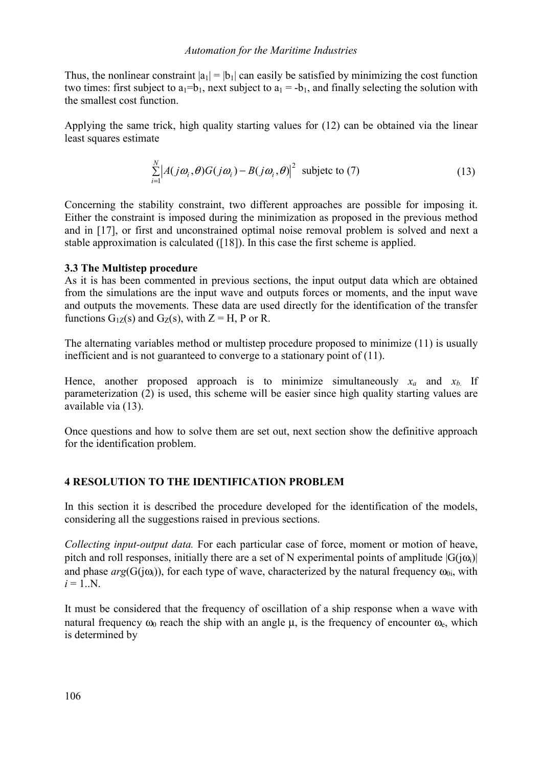Thus, the nonlinear constraint  $|a_1| = |b_1|$  can easily be satisfied by minimizing the cost function two times: first subject to  $a_1=b_1$ , next subject to  $a_1 = -b_1$ , and finally selecting the solution with the smallest cost function.

Applying the same trick, high quality starting values for (12) can be obtained via the linear least squares estimate

$$
\sum_{i=1}^{N} \left| A(j\omega_i, \theta) G(j\omega_i) - B(j\omega_i, \theta) \right|^2 \text{ subject to (7)}
$$
\n(13)

Concerning the stability constraint, two different approaches are possible for imposing it. Either the constraint is imposed during the minimization as proposed in the previous method and in [17], or first and unconstrained optimal noise removal problem is solved and next a stable approximation is calculated ([18]). In this case the first scheme is applied.

#### **3.3 The Multistep procedure**

As it is has been commented in previous sections, the input output data which are obtained from the simulations are the input wave and outputs forces or moments, and the input wave and outputs the movements. These data are used directly for the identification of the transfer functions  $G_{1Z}(s)$  and  $G_Z(s)$ , with  $Z = H$ , P or R.

The alternating variables method or multistep procedure proposed to minimize (11) is usually inefficient and is not guaranteed to converge to a stationary point of (11).

Hence, another proposed approach is to minimize simultaneously  $x_a$  and  $x_b$ . If parameterization (2) is used, this scheme will be easier since high quality starting values are available via (13).

Once questions and how to solve them are set out, next section show the definitive approach for the identification problem.

### **4 RESOLUTION TO THE IDENTIFICATION PROBLEM**

In this section it is described the procedure developed for the identification of the models, considering all the suggestions raised in previous sections.

*Collecting input-output data.* For each particular case of force, moment or motion of heave, pitch and roll responses, initially there are a set of N experimental points of amplitude  $|G(i\omega_i)|$ and phase  $arg(G(j\omega_i))$ , for each type of wave, characterized by the natural frequency  $\omega_{0i}$ , with  $i = 1$  N.

It must be considered that the frequency of oscillation of a ship response when a wave with natural frequency  $\omega_0$  reach the ship with an angle  $\mu$ , is the frequency of encounter  $\omega_e$ , which is determined by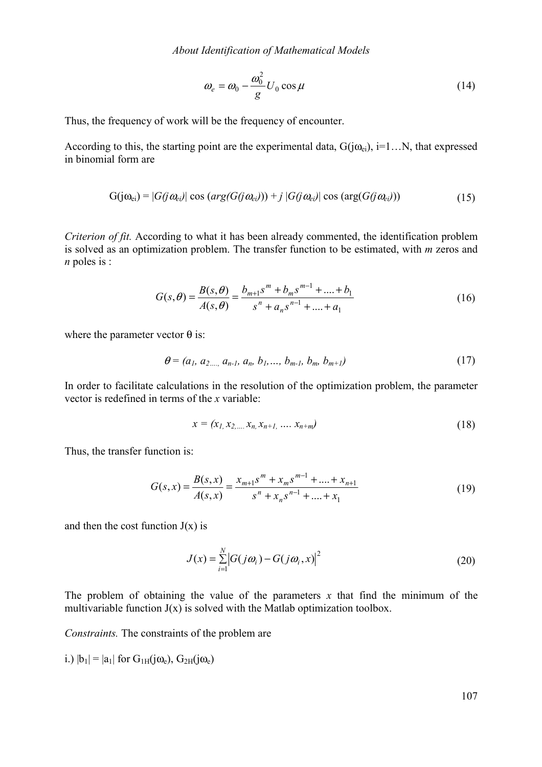*About Identification of Mathematical Models* 

$$
\omega_e = \omega_0 - \frac{\omega_0^2}{g} U_0 \cos \mu \tag{14}
$$

Thus, the frequency of work will be the frequency of encounter.

According to this, the starting point are the experimental data,  $G(i\omega_{ei})$ , i=1…N, that expressed in binomial form are

$$
G(j\omega_{ei}) = |G(j\omega_{ei})| \cos (arg(G(j\omega_{ei}))) + j |G(j\omega_{ei})| \cos (arg(G(j\omega_{ei})))
$$
\n(15)

*Criterion of fit.* According to what it has been already commented, the identification problem is solved as an optimization problem. The transfer function to be estimated, with *m* zeros and *n* poles is :

$$
G(s,\theta) = \frac{B(s,\theta)}{A(s,\theta)} = \frac{b_{m+1}s^m + b_m s^{m-1} + \dots + b_1}{s^n + a_n s^{n-1} + \dots + a_1}
$$
(16)

where the parameter vector  $\theta$  is:

$$
\theta = (a_1, a_2, \ldots, a_{n-l}, a_n, b_1, \ldots, b_{m-l}, b_m, b_{m+l})
$$
\n(17)

In order to facilitate calculations in the resolution of the optimization problem, the parameter vector is redefined in terms of the *x* variable:

$$
x = (x_1, x_2, \dots, x_n, x_{n+1}, \dots, x_{n+m})
$$
\n(18)

Thus, the transfer function is:

$$
G(s,x) = \frac{B(s,x)}{A(s,x)} = \frac{x_{m+1}s^m + x_m s^{m-1} + \dots + x_{n+1}}{s^n + x_n s^{n-1} + \dots + x_1}
$$
(19)

and then the cost function  $J(x)$  is

$$
J(x) = \sum_{i=1}^{N} \left| G(j\omega_i) - G(j\omega_i, x) \right|^2
$$
 (20)

The problem of obtaining the value of the parameters  $x$  that find the minimum of the multivariable function  $J(x)$  is solved with the Matlab optimization toolbox.

*Constraints.* The constraints of the problem are

i.)  $|b_1| = |a_1|$  for  $G_{1H}(j\omega_e)$ ,  $G_{2H}(j\omega_e)$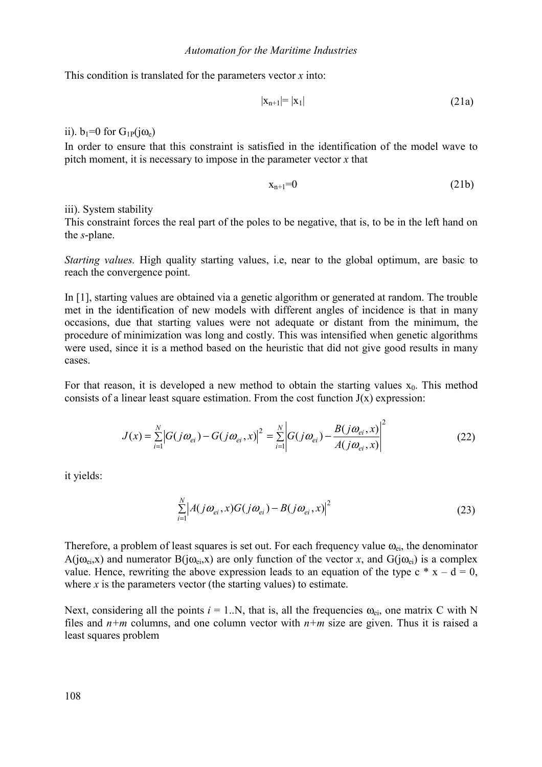This condition is translated for the parameters vector *x* into:

$$
|\mathbf{x}_{n+1}| = |\mathbf{x}_1| \tag{21a}
$$

ii).  $b_1=0$  for  $G_{1P}(j\omega_e)$ 

In order to ensure that this constraint is satisfied in the identification of the model wave to pitch moment, it is necessary to impose in the parameter vector *x* that

$$
x_{n+1}=0 \tag{21b}
$$

iii). System stability

This constraint forces the real part of the poles to be negative, that is, to be in the left hand on the *s*-plane.

*Starting values.* High quality starting values, i.e, near to the global optimum, are basic to reach the convergence point.

In [1], starting values are obtained via a genetic algorithm or generated at random. The trouble met in the identification of new models with different angles of incidence is that in many occasions, due that starting values were not adequate or distant from the minimum, the procedure of minimization was long and costly. This was intensified when genetic algorithms were used, since it is a method based on the heuristic that did not give good results in many cases.

For that reason, it is developed a new method to obtain the starting values  $x_0$ . This method consists of a linear least square estimation. From the cost function  $J(x)$  expression:

$$
J(x) = \sum_{i=1}^{N} \left| G(j\omega_{ei}) - G(j\omega_{ei}, x) \right|^2 = \sum_{i=1}^{N} \left| G(j\omega_{ei}) - \frac{B(j\omega_{ei}, x)}{A(j\omega_{ei}, x)} \right|^2 \tag{22}
$$

it yields:

$$
\sum_{i=1}^{N} \left| A(j\omega_{ei}, x) G(j\omega_{ei}) - B(j\omega_{ei}, x) \right|^2 \tag{23}
$$

Therefore, a problem of least squares is set out. For each frequency value  $\omega_{ei}$ , the denominator  $A(i\omega_{ei},x)$  and numerator  $B(i\omega_{ei},x)$  are only function of the vector *x*, and  $G(i\omega_{ei})$  is a complex value. Hence, rewriting the above expression leads to an equation of the type  $c * x - d = 0$ , where  $x$  is the parameters vector (the starting values) to estimate.

Next, considering all the points  $i = 1..N$ , that is, all the frequencies  $\omega_{ei}$ , one matrix C with N files and *n+m* columns, and one column vector with *n+m* size are given. Thus it is raised a least squares problem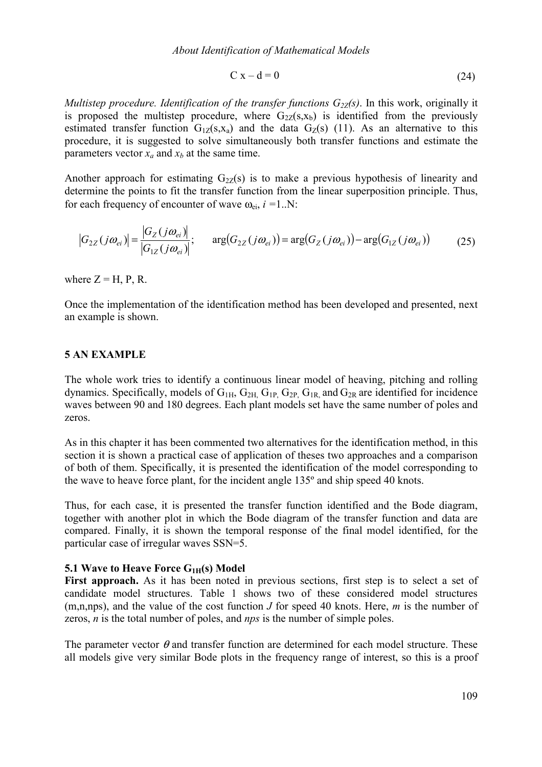$$
C x - d = 0 \tag{24}
$$

*Multistep procedure. Identification of the transfer functions*  $G_{2Z}(s)$ *. In this work, originally it* is proposed the multistep procedure, where  $G_{2Z}(s,x_b)$  is identified from the previously estimated transfer function  $G_{1Z}(s,x_a)$  and the data  $G_Z(s)$  (11). As an alternative to this procedure, it is suggested to solve simultaneously both transfer functions and estimate the parameters vector  $x_a$  and  $x_b$  at the same time.

Another approach for estimating  $G_{2Z}(s)$  is to make a previous hypothesis of linearity and determine the points to fit the transfer function from the linear superposition principle. Thus, for each frequency of encounter of wave  $\omega_{ei}$ ,  $i = 1..N$ :

$$
\left|G_{2Z}(j\omega_{ei})\right| = \frac{\left|G_Z(j\omega_{ei})\right|}{\left|G_{1Z}(j\omega_{ei})\right|}; \qquad \arg\left(G_{2Z}(j\omega_{ei})\right) = \arg\left(G_Z(j\omega_{ei})\right) - \arg\left(G_{1Z}(j\omega_{ei})\right) \tag{25}
$$

where  $Z = H$ , P, R.

Once the implementation of the identification method has been developed and presented, next an example is shown.

#### **5 AN EXAMPLE**

The whole work tries to identify a continuous linear model of heaving, pitching and rolling dynamics. Specifically, models of  $G_{1H}$ ,  $G_{2H}$ ,  $G_{1P}$ ,  $G_{2P}$ ,  $G_{1R}$ , and  $G_{2R}$  are identified for incidence waves between 90 and 180 degrees. Each plant models set have the same number of poles and zeros.

As in this chapter it has been commented two alternatives for the identification method, in this section it is shown a practical case of application of theses two approaches and a comparison of both of them. Specifically, it is presented the identification of the model corresponding to the wave to heave force plant, for the incident angle 135º and ship speed 40 knots.

Thus, for each case, it is presented the transfer function identified and the Bode diagram, together with another plot in which the Bode diagram of the transfer function and data are compared. Finally, it is shown the temporal response of the final model identified, for the particular case of irregular waves SSN=5.

#### **5.1 Wave to Heave Force G<sub>1H</sub>(s) Model**

First approach. As it has been noted in previous sections, first step is to select a set of candidate model structures. Table 1 shows two of these considered model structures (m,n,nps), and the value of the cost function *J* for speed 40 knots. Here, *m* is the number of zeros, *n* is the total number of poles, and *nps* is the number of simple poles.

The parameter vector  $\theta$  and transfer function are determined for each model structure. These all models give very similar Bode plots in the frequency range of interest, so this is a proof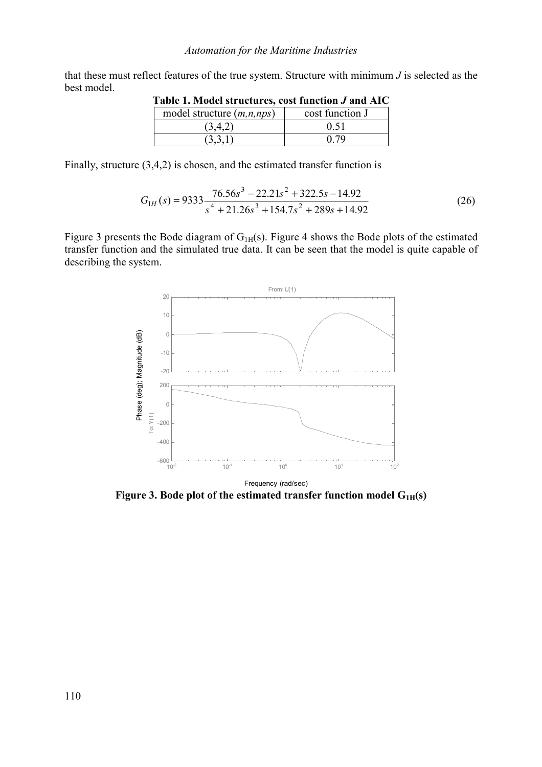that these must reflect features of the true system. Structure with minimum *J* is selected as the best model.

| <b>Table 1. Model structures, cost function J and ATC</b> |                 |  |
|-----------------------------------------------------------|-----------------|--|
| model structure $(m, n, nps)$                             | cost function J |  |
| (3,4,2)                                                   | 0.51            |  |
| (3,3,1)                                                   | 0.79            |  |

**Table 1. Model structures, cost function** *J* **and AIC** 

Finally, structure (3,4,2) is chosen, and the estimated transfer function is

$$
G_{1H}(s) = 9333 \frac{76.56s^3 - 22.21s^2 + 322.5s - 14.92}{s^4 + 21.26s^3 + 154.7s^2 + 289s + 14.92}
$$
(26)

Figure 3 presents the Bode diagram of  $G<sub>1H</sub>(s)$ . Figure 4 shows the Bode plots of the estimated transfer function and the simulated true data. It can be seen that the model is quite capable of describing the system.



Figure 3. Bode plot of the estimated transfer function model G<sub>1H</sub>(s)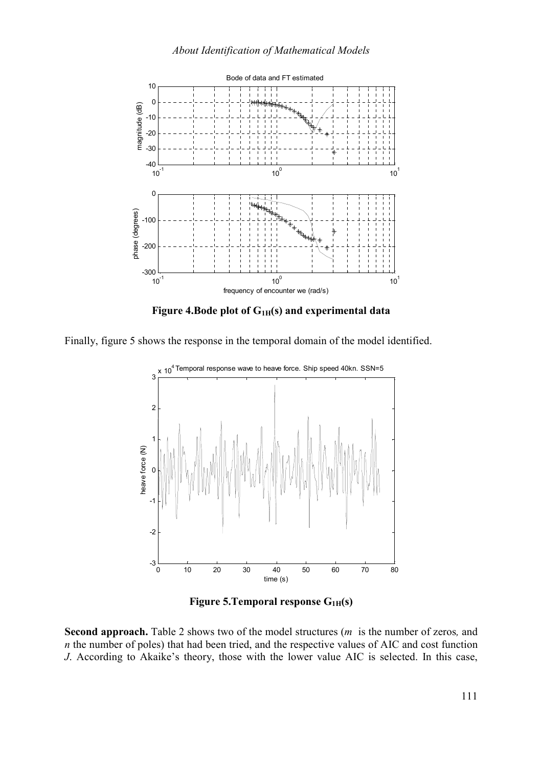

Figure 4.Bode plot of G<sub>1H</sub>(s) and experimental data

Finally, figure 5 shows the response in the temporal domain of the model identified.



Figure 5.Temporal response G<sub>1H</sub>(s)

**Second approach.** Table 2 shows two of the model structures (*m* is the number of zeros*,* and *n* the number of poles) that had been tried, and the respective values of AIC and cost function *J*. According to Akaike's theory, those with the lower value AIC is selected. In this case,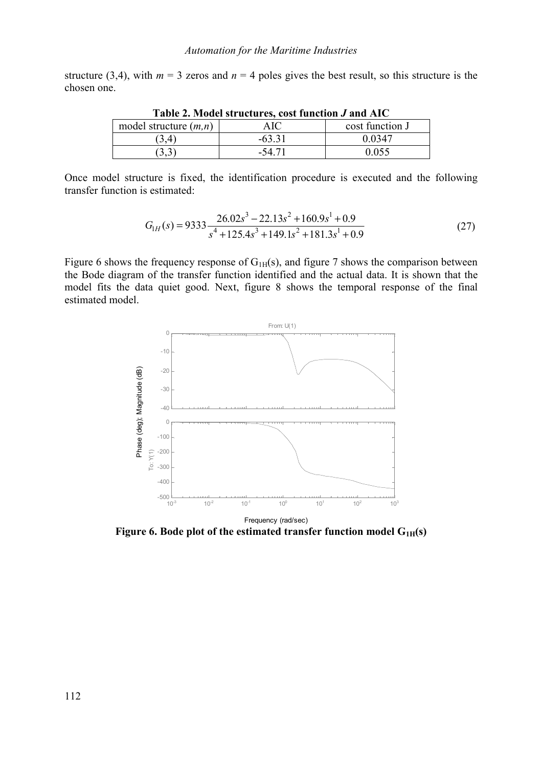structure (3,4), with  $m = 3$  zeros and  $n = 4$  poles gives the best result, so this structure is the chosen one.

| model structure $(m, n)$ | AIC             | cost function J |
|--------------------------|-----------------|-----------------|
|                          | $-63.31$        | 0.0347          |
| ر د                      | $-54.7^{\circ}$ | 0.055           |

**Table 2. Model structures, cost function** *J* **and AIC** 

Once model structure is fixed, the identification procedure is executed and the following transfer function is estimated:

$$
G_{1H}(s) = 9333 \frac{26.02s^3 - 22.13s^2 + 160.9s^1 + 0.9}{s^4 + 125.4s^3 + 149.1s^2 + 181.3s^1 + 0.9}
$$
(27)

Figure 6 shows the frequency response of  $G_{1H}(s)$ , and figure 7 shows the comparison between the Bode diagram of the transfer function identified and the actual data. It is shown that the model fits the data quiet good. Next, figure 8 shows the temporal response of the final estimated model.



Figure 6. Bode plot of the estimated transfer function model G<sub>1H</sub>(s)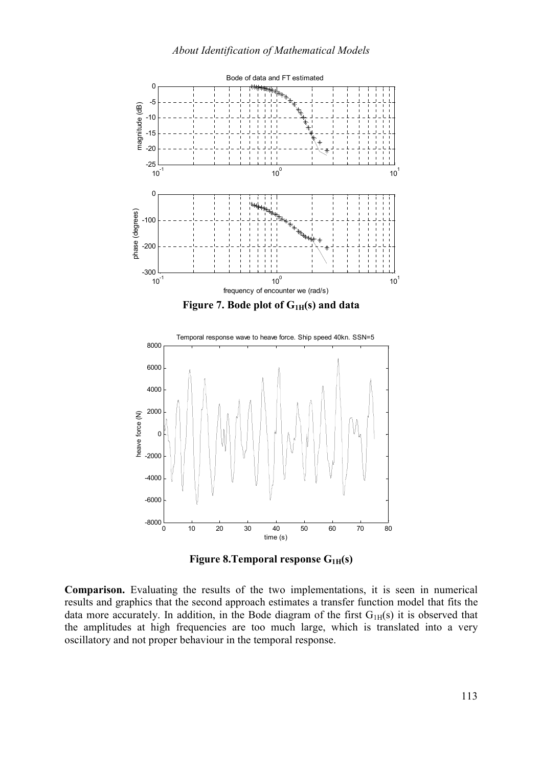

Figure 7. Bode plot of G<sub>1H</sub>(s) and data



Figure 8.Temporal response G<sub>1H</sub>(s)

**Comparison.** Evaluating the results of the two implementations, it is seen in numerical results and graphics that the second approach estimates a transfer function model that fits the data more accurately. In addition, in the Bode diagram of the first  $G_{1H}(s)$  it is observed that the amplitudes at high frequencies are too much large, which is translated into a very oscillatory and not proper behaviour in the temporal response.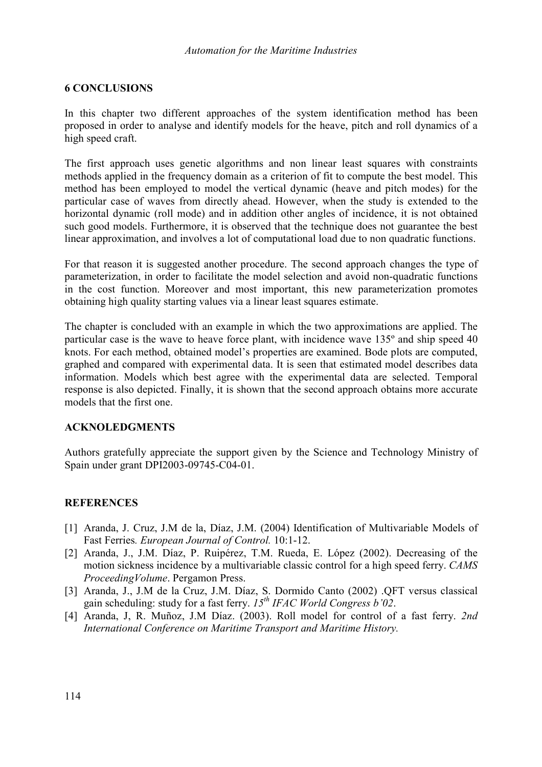#### **6 CONCLUSIONS**

In this chapter two different approaches of the system identification method has been proposed in order to analyse and identify models for the heave, pitch and roll dynamics of a high speed craft.

The first approach uses genetic algorithms and non linear least squares with constraints methods applied in the frequency domain as a criterion of fit to compute the best model. This method has been employed to model the vertical dynamic (heave and pitch modes) for the particular case of waves from directly ahead. However, when the study is extended to the horizontal dynamic (roll mode) and in addition other angles of incidence, it is not obtained such good models. Furthermore, it is observed that the technique does not guarantee the best linear approximation, and involves a lot of computational load due to non quadratic functions.

For that reason it is suggested another procedure. The second approach changes the type of parameterization, in order to facilitate the model selection and avoid non-quadratic functions in the cost function. Moreover and most important, this new parameterization promotes obtaining high quality starting values via a linear least squares estimate.

The chapter is concluded with an example in which the two approximations are applied. The particular case is the wave to heave force plant, with incidence wave 135º and ship speed 40 knots. For each method, obtained model's properties are examined. Bode plots are computed, graphed and compared with experimental data. It is seen that estimated model describes data information. Models which best agree with the experimental data are selected. Temporal response is also depicted. Finally, it is shown that the second approach obtains more accurate models that the first one.

#### **ACKNOLEDGMENTS**

Authors gratefully appreciate the support given by the Science and Technology Ministry of Spain under grant DPI2003-09745-C04-01.

### **REFERENCES**

- [1] Aranda, J. Cruz, J.M de la, Díaz, J.M. (2004) Identification of Multivariable Models of Fast Ferries*. European Journal of Control.* 10:1-12.
- [2] Aranda, J., J.M. Díaz, P. Ruipérez, T.M. Rueda, E. López (2002). Decreasing of the motion sickness incidence by a multivariable classic control for a high speed ferry. *CAMS ProceedingVolume*. Pergamon Press.
- [3] Aranda, J., J.M de la Cruz, J.M. Díaz, S. Dormido Canto (2002) .QFT versus classical gain scheduling: study for a fast ferry. *15th IFAC World Congress b'02*.
- [4] Aranda, J, R. Muñoz, J.M Díaz. (2003). Roll model for control of a fast ferry. *2nd International Conference on Maritime Transport and Maritime History.*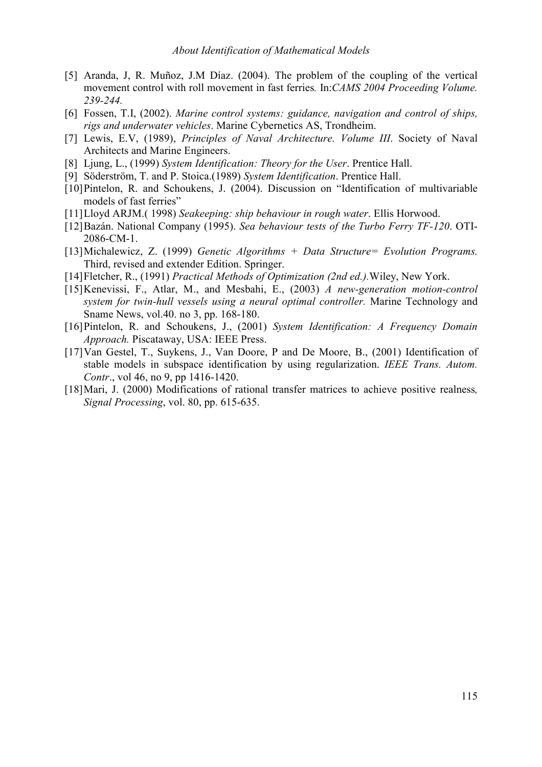- [5] Aranda, J, R. Muñoz, J.M Díaz. (2004). The problem of the coupling of the vertical movement control with roll movement in fast ferries*.* In:*CAMS 2004 Proceeding Volume. 239-244.*
- [6] Fossen, T.I, (2002). *Marine control systems: guidance, navigation and control of ships, rigs and underwater vehicles*. Marine Cybernetics AS, Trondheim.
- [7] Lewis, E.V, (1989), *Principles of Naval Architecture. Volume III*. Society of Naval Architects and Marine Engineers.
- [8] Ljung, L., (1999) *System Identification: Theory for the User*. Prentice Hall.
- [9] Söderström, T. and P. Stoica.(1989) *System Identification*. Prentice Hall.
- [10] Pintelon, R. and Schoukens, J. (2004). Discussion on "Identification of multivariable models of fast ferries"
- [11] Lloyd ARJM.( 1998) *Seakeeping: ship behaviour in rough water*. Ellis Horwood.
- [12] Bazán. National Company (1995). *Sea behaviour tests of the Turbo Ferry TF-120*. OTI-2086-CM-1.
- [13] Michalewicz, Z. (1999) *Genetic Algorithms + Data Structure= Evolution Programs.*  Third, revised and extender Edition. Springer.
- [14] Fletcher, R., (1991) *Practical Methods of Optimization (2nd ed.).*Wiley, New York.
- [15] Kenevissi, F., Atlar, M., and Mesbahi, E., (2003) *A new-generation motion-control system for twin-hull vessels using a neural optimal controller.* Marine Technology and Sname News, vol.40. no 3, pp. 168-180.
- [16] Pintelon, R. and Schoukens, J., (2001) *System Identification: A Frequency Domain Approach.* Piscataway, USA: IEEE Press.
- [17] Van Gestel, T., Suykens, J., Van Doore, P and De Moore, B., (2001) Identification of stable models in subspace identification by using regularization. *IEEE Trans. Autom. Contr*., vol 46, no 9, pp 1416-1420.
- [18] Mari, J. (2000) Modifications of rational transfer matrices to achieve positive realness*, Signal Processing*, vol. 80, pp. 615-635.